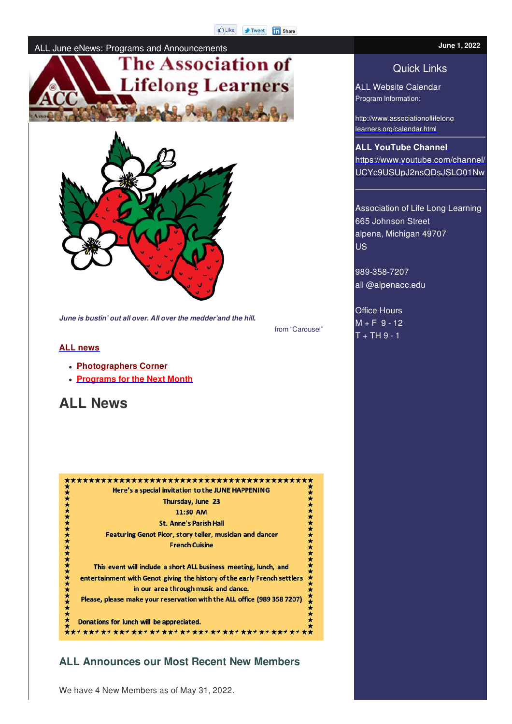#### ALL June eNews: Programs and Announcements





*June is bustin' out all over. All over the medder'and the hill.*

from "Carousel"

#### **ALL news**

- **Photographers Corner**
- **Programs for the Next Month**

# **ALL News**



## **ALL Announces our Most Recent New Members**

We have 4 New Members as of May 31, 2022.

# Quick Links

ALL Website Calendar Program Information:

http://www.associationoflifelong learners.org/calendar.html

**ALL YouTube Channel** https://www.youtube.com/channel/ UCYc9USUpJ2nsQDsJSLO01Nw

Association of Life Long Learning 665 Johnson Street alpena, Michigan 49707 US<sub>1</sub>

989-358-7207 all @alpenacc.edu

Office Hours  $M + F$  9 - 12  $T + TH9 - 1$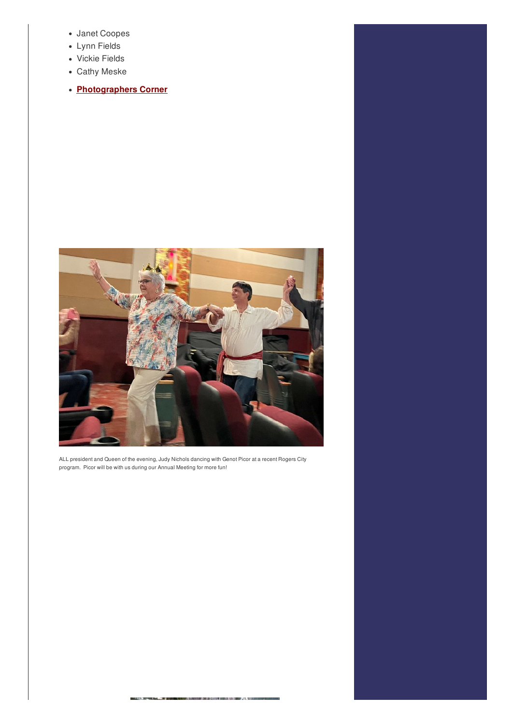- Janet Coopes
- Lynn Fields
- Vickie Fields
- Cathy Meske
- **Photographers Corner**



ALL president and Queen of the evening, Judy Nichols dancing with Genot Picor at a recent Rogers City program. Picor will be with us during our Annual Meeting for more fun!

zn m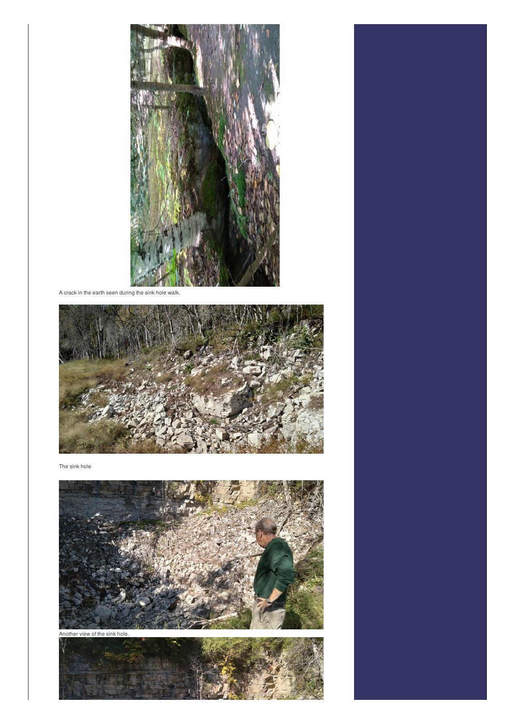

A crack in the earth seen during the sink hole walk.



The sink hole



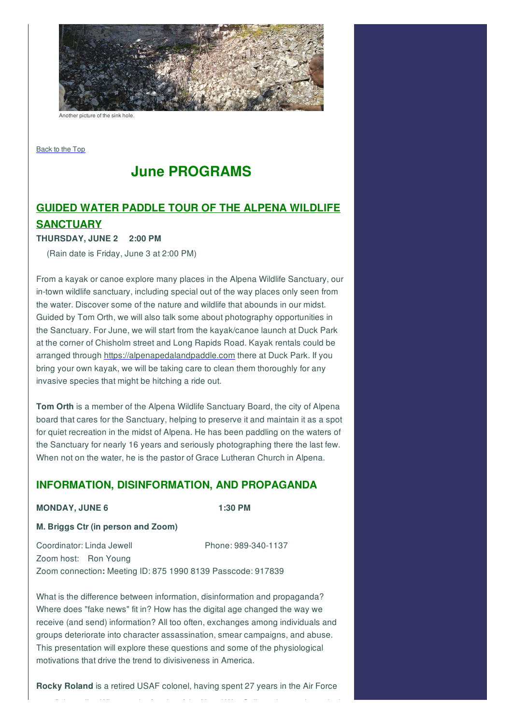

another picture of the sink hole.

Back to the Top

# **June PROGRAMS**

# **GUIDED WATER PADDLE TOUR OF THE ALPENA WILDLIFE**

# **SANCTUARY**

#### **THURSDAY, JUNE 2 2:00 PM**

(Rain date is Friday, June 3 at 2:00 PM)

From a kayak or canoe explore many places in the Alpena Wildlife Sanctuary, our in-town wildlife sanctuary, including special out of the way places only seen from the water. Discover some of the nature and wildlife that abounds in our midst. Guided by Tom Orth, we will also talk some about photography opportunities in the Sanctuary. For June, we will start from the kayak/canoe launch at Duck Park at the corner of Chisholm street and Long Rapids Road. Kayak rentals could be arranged through https://alpenapedalandpaddle.com there at Duck Park. If you bring your own kayak, we will be taking care to clean them thoroughly for any invasive species that might be hitching a ride out.

**Tom Orth** is a member of the Alpena Wildlife Sanctuary Board, the city of Alpena board that cares for the Sanctuary, helping to preserve it and maintain it as a spot for quiet recreation in the midst of Alpena. He has been paddling on the waters of the Sanctuary for nearly 16 years and seriously photographing there the last few. When not on the water, he is the pastor of Grace Lutheran Church in Alpena.

## **INFORMATION, DISINFORMATION, AND PROPAGANDA**

#### **MONDAY, JUNE 6 1:30 PM**

#### **M. Briggs Ctr (in person and Zoom)**

Coordinator: Linda Jewell Phone: 989-340-1137 Zoom host: Ron Young Zoom connection**:** Meeting ID: 875 1990 8139 Passcode: 917839

What is the difference between information, disinformation and propaganda? Where does "fake news" fit in? How has the digital age changed the way we receive (and send) information? All too often, exchanges among individuals and groups deteriorate into character assassination, smear campaigns, and abuse. This presentation will explore these questions and some of the physiological motivations that drive the trend to divisiveness in America.

**Rocky Roland** is a retired USAF colonel, having spent 27 years in the Air Force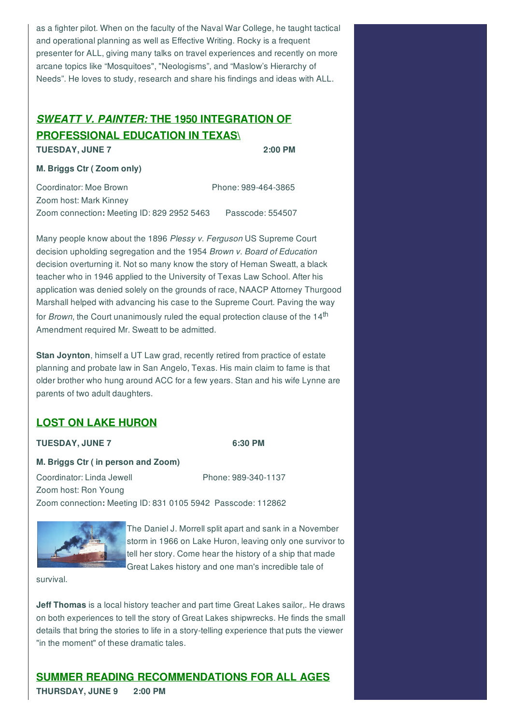as a fighter pilot. When on the faculty of the Naval War College, he taught tactical and operational planning as well as Effective Writing. Rocky is a frequent presenter for ALL, giving many talks on travel experiences and recently on more arcane topics like "Mosquitoes", "Neologisms", and "Maslow's Hierarchy of Needs". He loves to study, research and share his findings and ideas with ALL.

# *SWEATT V. PAINTER:* **THE 1950 INTEGRATION OF PROFESSIONAL EDUCATION IN TEXAS\ TUESDAY, JUNE 7 2:00 PM**

#### **M. Briggs Ctr ( Zoom only)**

Coordinator: Moe Brown Phone: 989-464-3865 Zoom host: Mark Kinney Zoom connection**:** Meeting ID: 829 2952 5463 Passcode: 554507

Many people know about the 1896 *Plessy v. Ferguson* US Supreme Court decision upholding segregation and the 1954 *Brown v. Board of Education* decision overturning it. Not so many know the story of Heman Sweatt, a black teacher who in 1946 applied to the University of Texas Law School. After his application was denied solely on the grounds of race, NAACP Attorney Thurgood Marshall helped with advancing his case to the Supreme Court. Paving the way for *Brown*, the Court unanimously ruled the equal protection clause of the 14<sup>th</sup> Amendment required Mr. Sweatt to be admitted.

**Stan Joynton**, himself a UT Law grad, recently retired from practice of estate planning and probate law in San Angelo, Texas. His main claim to fame is that older brother who hung around ACC for a few years. Stan and his wife Lynne are parents of two adult daughters.

# **LOST ON LAKE HURON**

#### **TUESDAY, JUNE 7 6:30 PM**

#### **M. Briggs Ctr ( in person and Zoom)**

Coordinator: Linda Jewell Phone: 989-340-1137 Zoom host: Ron Young Zoom connection**:** Meeting ID: 831 0105 5942 Passcode: 112862



The Daniel J. Morrell split apart and sank in a November storm in 1966 on Lake Huron, leaving only one survivor to tell her story. Come hear the history of a ship that made Great Lakes history and one man's incredible tale of

survival.

**Jeff Thomas** is a local history teacher and part time Great Lakes sailor,. He draws on both experiences to tell the story of Great Lakes shipwrecks. He finds the small details that bring the stories to life in a story-telling experience that puts the viewer "in the moment" of these dramatic tales.

**SUMMER READING RECOMMENDATIONS FOR ALL AGES THURSDAY, JUNE 9 2:00 PM**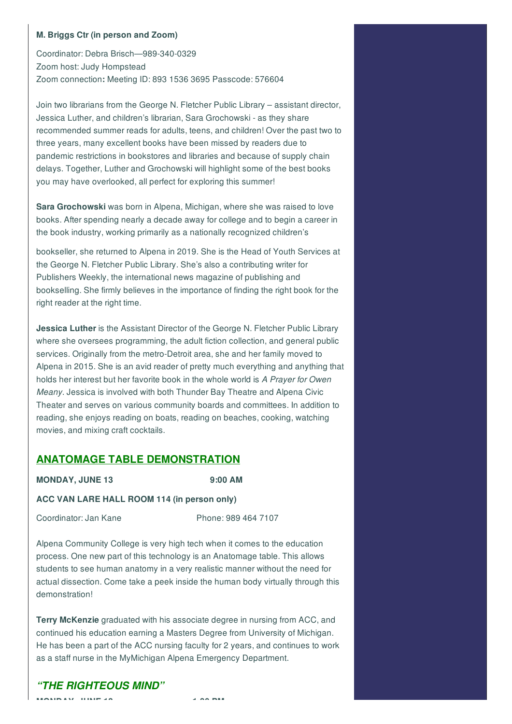#### **M. Briggs Ctr (in person and Zoom)**

Coordinator: Debra Brisch—989-340-0329 Zoom host: Judy Hompstead Zoom connection**:** Meeting ID: 893 1536 3695 Passcode: 576604

Join two librarians from the George N. Fletcher Public Library – assistant director, Jessica Luther, and children's librarian, Sara Grochowski - as they share recommended summer reads for adults, teens, and children! Over the past two to three years, many excellent books have been missed by readers due to pandemic restrictions in bookstores and libraries and because of supply chain delays. Together, Luther and Grochowski will highlight some of the best books you may have overlooked, all perfect for exploring this summer!

**Sara Grochowski** was born in Alpena, Michigan, where she was raised to love books. After spending nearly a decade away for college and to begin a career in the book industry, working primarily as a nationally recognized children's

bookseller, she returned to Alpena in 2019. She is the Head of Youth Services at the George N. Fletcher Public Library. She's also a contributing writer for Publishers Weekly, the international news magazine of publishing and bookselling. She firmly believes in the importance of finding the right book for the right reader at the right time.

**Jessica Luther** is the Assistant Director of the George N. Fletcher Public Library where she oversees programming, the adult fiction collection, and general public services. Originally from the metro-Detroit area, she and her family moved to Alpena in 2015. She is an avid reader of pretty much everything and anything that holds her interest but her favorite book in the whole world is *A Prayer for Owen Meany*. Jessica is involved with both Thunder Bay Theatre and Alpena Civic Theater and serves on various community boards and committees. In addition to reading, she enjoys reading on boats, reading on beaches, cooking, watching movies, and mixing craft cocktails.

## **ANATOMAGE TABLE DEMONSTRATION**

**MONDAY, JUNE 13 9:00 AM**

#### **ACC VAN LARE HALL ROOM 114 (in person only)**

Coordinator: Jan Kane Phone: 989 464 7107

Alpena Community College is very high tech when it comes to the education process. One new part of this technology is an Anatomage table. This allows students to see human anatomy in a very realistic manner without the need for actual dissection. Come take a peek inside the human body virtually through this demonstration!

**Terry McKenzie** graduated with his associate degree in nursing from ACC, and continued his education earning a Masters Degree from University of Michigan. He has been a part of the ACC nursing faculty for 2 years, and continues to work as a staff nurse in the MyMichigan Alpena Emergency Department.

# *"THE RIGHTEOUS MIND"*

**MONDAY, JUNE 13 1:30 PM**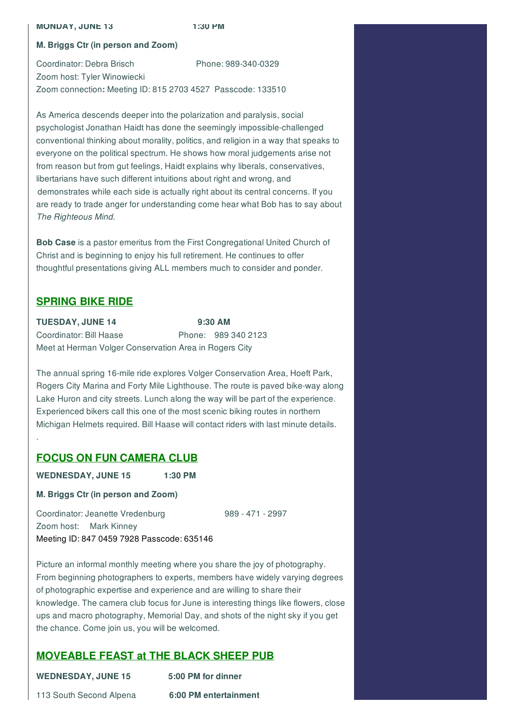#### **MONDAY, JUNE 13 1:30 PM**

#### **M. Briggs Ctr (in person and Zoom)**

Coordinator: Debra Brisch Phone: 989-340-0329 Zoom host: Tyler Winowiecki Zoom connection**:** Meeting ID: 815 2703 4527 Passcode: 133510

As America descends deeper into the polarization and paralysis, social psychologist Jonathan Haidt has done the seemingly impossible-challenged conventional thinking about morality, politics, and religion in a way that speaks to everyone on the political spectrum. He shows how moral judgements arise not from reason but from gut feelings, Haidt explains why liberals, conservatives, libertarians have such different intuitions about right and wrong, and demonstrates while each side is actually right about its central concerns. If you are ready to trade anger for understanding come hear what Bob has to say about *The Righteous Mind.*

**Bob Case** is a pastor emeritus from the First Congregational United Church of Christ and is beginning to enjoy his full retirement. He continues to offer thoughtful presentations giving ALL members much to consider and ponder.

## **SPRING BIKE RIDE**

.

| <b>TUESDAY, JUNE 14</b>                                | $9:30$ AM |                     |
|--------------------------------------------------------|-----------|---------------------|
| Coordinator: Bill Haase                                |           | Phone: 989 340 2123 |
| Meet at Herman Volger Conservation Area in Rogers City |           |                     |

The annual spring 16-mile ride explores Volger Conservation Area, Hoeft Park, Rogers City Marina and Forty Mile Lighthouse. The route is paved bike-way along Lake Huron and city streets. Lunch along the way will be part of the experience. Experienced bikers call this one of the most scenic biking routes in northern Michigan Helmets required. Bill Haase will contact riders with last minute details.

## **FOCUS ON FUN CAMERA CLUB**

**WEDNESDAY, JUNE 15 1:30 PM**

**M. Briggs Ctr (in person and Zoom)**

Coordinator: Jeanette Vredenburg 989 - 471 - 2997 Zoom host: Mark Kinney Meeting ID: 847 0459 7928 Passcode: 635146

Picture an informal monthly meeting where you share the joy of photography. From beginning photographers to experts, members have widely varying degrees of photographic expertise and experience and are willing to share their knowledge. The camera club focus for June is interesting things like flowers, close ups and macro photography, Memorial Day, and shots of the night sky if you get the chance. Come join us, you will be welcomed.

# **MOVEABLE FEAST at THE BLACK SHEEP PUB**

| <b>WEDNESDAY, JUNE 15</b> | 5:00 PM for dinner    |
|---------------------------|-----------------------|
| 113 South Second Alpena   | 6:00 PM entertainment |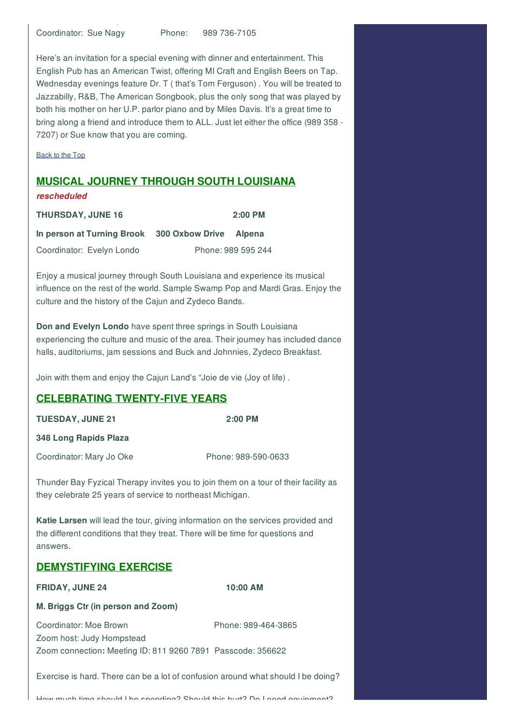Coordinator: Sue Nagy Phone: 989 736-7105

113 South Second Alpena **6:00 PM entertainment**

Here's an invitation for a special evening with dinner and entertainment. This English Pub has an American Twist, offering MI Craft and English Beers on Tap. Wednesday evenings feature Dr. T ( that's Tom Ferguson) . You will be treated to Jazzabilly, R&B, The American Songbook, plus the only song that was played by both his mother on her U.P. parlor piano and by Miles Davis. It's a great time to bring along a friend and introduce them to ALL. Just let either the office (989 358 - 7207) or Sue know that you are coming.

Back to the Top

#### **MUSICAL JOURNEY THROUGH SOUTH LOUISIANA**

#### *rescheduled*

| <b>THURSDAY, JUNE 16</b>   |                        | $2:00$ PM          |
|----------------------------|------------------------|--------------------|
| In person at Turning Brook | 300 Oxbow Drive Alpena |                    |
| Coordinator: Evelyn Londo  |                        | Phone: 989 595 244 |

Enjoy a musical journey through South Louisiana and experience its musical influence on the rest of the world. Sample Swamp Pop and Mardi Gras. Enjoy the culture and the history of the Cajun and Zydeco Bands.

**Don and Evelyn Londo** have spent three springs in South Louisiana experiencing the culture and music of the area. Their journey has included dance halls, auditoriums, jam sessions and Buck and Johnnies, Zydeco Breakfast.

Join with them and enjoy the Cajun Land's "Joie de vie (Joy of life) .

### **CELEBRATING TWENTY-FIVE YEARS**

| <b>TUESDAY, JUNE 21</b>                                                                                                                          | 2:00 PM             |  |  |
|--------------------------------------------------------------------------------------------------------------------------------------------------|---------------------|--|--|
| 348 Long Rapids Plaza                                                                                                                            |                     |  |  |
| Coordinator: Mary Jo Oke                                                                                                                         | Phone: 989-590-0633 |  |  |
| Thunder Bay Fyzical Therapy invites you to join them on a tour of their facility as<br>they celebrate 25 years of service to northeast Michigan. |                     |  |  |

**Katie Larsen** will lead the tour, giving information on the services provided and the different conditions that they treat. There will be time for questions and answers.

### **DEMYSTIFYING EXERCISE**

**FRIDAY, JUNE 24 10:00 AM**

#### **M. Briggs Ctr (in person and Zoom)**

Coordinator: Moe Brown Phone: 989-464-3865

Zoom host: Judy Hompstead Zoom connection**:** Meeting ID: 811 9260 7891 Passcode: 356622

Exercise is hard. There can be a lot of confusion around what should I be doing?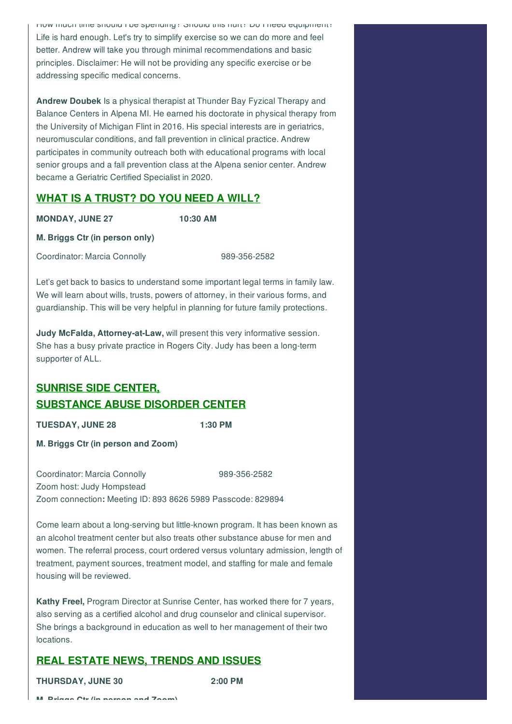How much time should I be spending? Should this hurt? Do I need equipment? Life is hard enough. Let's try to simplify exercise so we can do more and feel better. Andrew will take you through minimal recommendations and basic principles. Disclaimer: He will not be providing any specific exercise or be addressing specific medical concerns.

**Andrew Doubek** Is a physical therapist at Thunder Bay Fyzical Therapy and Balance Centers in Alpena MI. He earned his doctorate in physical therapy from the University of Michigan Flint in 2016. His special interests are in geriatrics, neuromuscular conditions, and fall prevention in clinical practice. Andrew participates in community outreach both with educational programs with local senior groups and a fall prevention class at the Alpena senior center. Andrew became a Geriatric Certified Specialist in 2020.

# **WHAT IS A TRUST? DO YOU NEED A WILL?**

**MONDAY, JUNE 27 10:30 AM**

**M. Briggs Ctr (in person only)**

Coordinator: Marcia Connolly 989-356-2582

Let's get back to basics to understand some important legal terms in family law. We will learn about wills, trusts, powers of attorney, in their various forms, and guardianship. This will be very helpful in planning for future family protections.

**Judy McFalda, Attorney-at-Law,** will present this very informative session. She has a busy private practice in Rogers City. Judy has been a long-term supporter of ALL.

# **SUNRISE SIDE CENTER, SUBSTANCE ABUSE DISORDER CENTER**

**TUESDAY, JUNE 28 1:30 PM**

**M. Briggs Ctr (in person and Zoom)**

Coordinator: Marcia Connolly 989-356-2582 Zoom host: Judy Hompstead Zoom connection**:** Meeting ID: 893 8626 5989 Passcode: 829894

Come learn about a long-serving but little-known program. It has been known as an alcohol treatment center but also treats other substance abuse for men and women. The referral process, court ordered versus voluntary admission, length of treatment, payment sources, treatment model, and staffing for male and female housing will be reviewed.

**Kathy Freel,** Program Director at Sunrise Center, has worked there for 7 years, also serving as a certified alcohol and drug counselor and clinical supervisor. She brings a background in education as well to her management of their two locations.

# **REAL ESTATE NEWS, TRENDS AND ISSUES**

**THURSDAY, JUNE 30 2:00 PM**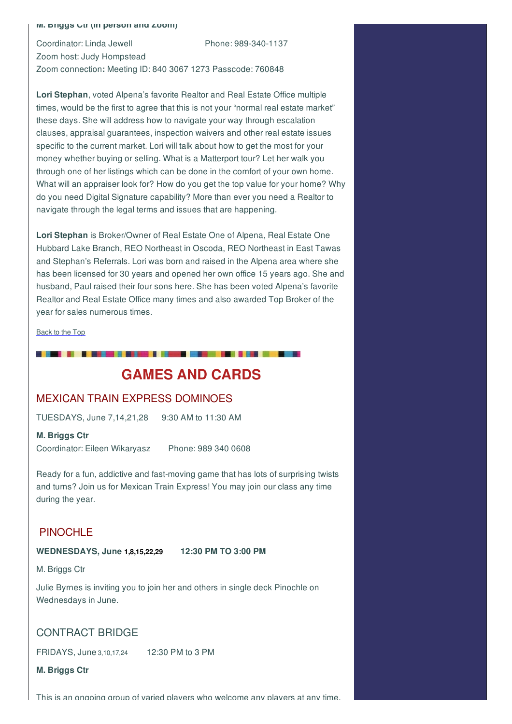#### **M. Briggs Ctr (in person and Zoom)**

Coordinator: Linda Jewell Phone: 989-340-1137 Zoom host: Judy Hompstead Zoom connection**:** Meeting ID: 840 3067 1273 Passcode: 760848

**Lori Stephan**, voted Alpena's favorite Realtor and Real Estate Office multiple times, would be the first to agree that this is not your "normal real estate market" these days. She will address how to navigate your way through escalation clauses, appraisal guarantees, inspection waivers and other real estate issues specific to the current market. Lori will talk about how to get the most for your money whether buying or selling. What is a Matterport tour? Let her walk you through one of her listings which can be done in the comfort of your own home. What will an appraiser look for? How do you get the top value for your home? Why do you need Digital Signature capability? More than ever you need a Realtor to navigate through the legal terms and issues that are happening.

**Lori Stephan** is Broker/Owner of Real Estate One of Alpena, Real Estate One Hubbard Lake Branch, REO Northeast in Oscoda, REO Northeast in East Tawas and Stephan's Referrals. Lori was born and raised in the Alpena area where she has been licensed for 30 years and opened her own office 15 years ago. She and husband, Paul raised their four sons here. She has been voted Alpena's favorite Realtor and Real Estate Office many times and also awarded Top Broker of the year for sales numerous times.

Back to the Top

# **GAMES AND CARDS**

### MEXICAN TRAIN EXPRESS DOMINOES

. . . . . . . . . . . . .

TUESDAYS, June 7,14,21,28 9:30 AM to 11:30 AM

#### **M. Briggs Ctr**

Coordinator: Eileen Wikaryasz Phone: 989 340 0608

Ready for a fun, addictive and fast-moving game that has lots of surprising twists and turns? Join us for Mexican Train Express! You may join our class any time during the year.

## PINOCHLE

#### **WEDNESDAYS, June 1,8,15,22,29 12:30 PM TO 3:00 PM**

M. Briggs Ctr

Julie Byrnes is inviting you to join her and others in single deck Pinochle on Wednesdays in June.

## CONTRACT BRIDGE

FRIDAYS, June 3,10,17,24 12:30 PM to 3 PM

**M. Briggs Ctr**

This is an ongoing group of varied players who welcome any players at any time.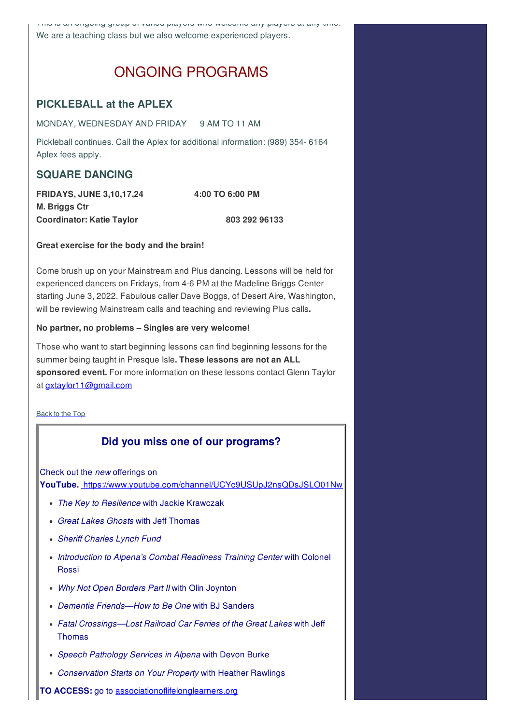This is an ongoing group of varied players who welcome any players at any time. We are a teaching class but we also welcome experienced players.

# ONGOING PROGRAMS

# **PICKLEBALL at the APLEX**

MONDAY, WEDNESDAY AND FRIDAY 9 AM TO 11 AM

Pickleball continues. Call the Aplex for additional information: (989) 354- 6164 Aplex fees apply.

# **SQUARE DANCING**

**FRIDAYS, JUNE 3,10,17,24 4:00 TO 6:00 PM M. Briggs Ctr Coordinator: Katie Taylor 803 292 96133**

#### **Great exercise for the body and the brain!**

Come brush up on your Mainstream and Plus dancing. Lessons will be held for experienced dancers on Fridays, from 4-6 PM at the Madeline Briggs Center starting June 3, 2022. Fabulous caller Dave Boggs, of Desert Aire, Washington, will be reviewing Mainstream calls and teaching and reviewing Plus calls**.**

#### **No partner, no problems – Singles are very welcome!**

Those who want to start beginning lessons can find beginning lessons for the summer being taught in Presque Isle**. These lessons are not an ALL sponsored event.** For more information on these lessons contact Glenn Taylor at gxtaylor11@gmail.com

Back to the Top

# **Did you miss one of our programs?**

Check out the *new* offerings on **YouTube.** https://www.youtube.com/channel/UCYc9USUpJ2nsQDsJSLO01Nw

- *The Key to Resilience* with Jackie Krawczak
- *Great Lakes Ghosts* with Jeff Thomas
- *Sheriff Charles Lynch Fund*
- *Introduction to Alpena's Combat Readiness Training Center* with Colonel Rossi
- *Why Not Open Borders Part II* with Olin Joynton
- *Dementia Friends—How to Be One* with BJ Sanders
- *Fatal Crossings—Lost Railroad Car Ferries of the Great Lakes* with Jeff Thomas
- *Speech Pathology Services in Alpena* with Devon Burke
- *Conservation Starts on Your Property* with Heather Rawlings
- **TO ACCESS:** go to associationoflifelonglearners.org